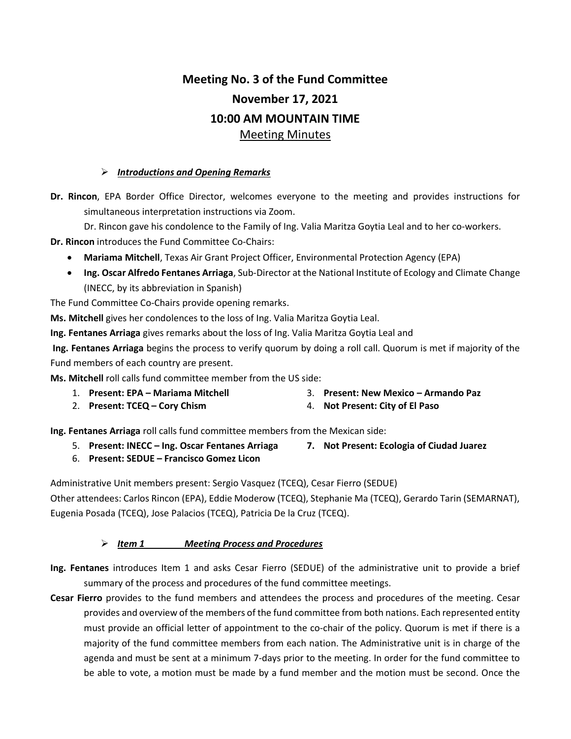# Meeting No. 3 of the Fund Committee November 17, 2021 10:00 AM MOUNTAIN TIME Meeting Minutes

#### $\triangleright$  Introductions and Opening Remarks

Dr. Rincon, EPA Border Office Director, welcomes everyone to the meeting and provides instructions for simultaneous interpretation instructions via Zoom.

Dr. Rincon gave his condolence to the Family of Ing. Valia Maritza Goytia Leal and to her co-workers.

Dr. Rincon introduces the Fund Committee Co-Chairs:

- Mariama Mitchell, Texas Air Grant Project Officer, Environmental Protection Agency (EPA)
- Ing. Oscar Alfredo Fentanes Arriaga, Sub-Director at the National Institute of Ecology and Climate Change (INECC, by its abbreviation in Spanish)

The Fund Committee Co-Chairs provide opening remarks.

Ms. Mitchell gives her condolences to the loss of Ing. Valia Maritza Goytia Leal.

Ing. Fentanes Arriaga gives remarks about the loss of Ing. Valia Maritza Goytia Leal and

Ing. Fentanes Arriaga begins the process to verify quorum by doing a roll call. Quorum is met if majority of the Fund members of each country are present.

Ms. Mitchell roll calls fund committee member from the US side:

- 1. Present: EPA Mariama Mitchell
- 3. Present: New Mexico Armando Paz
- 2. Present: TCEQ Cory Chism 4. Not Present: City of El Paso

Ing. Fentanes Arriaga roll calls fund committee members from the Mexican side:

- 5. Present: INECC Ing. Oscar Fentanes Arriaga 7. Not Present: Ecologia of Ciudad Juarez
- 6. Present: SEDUE Francisco Gomez Licon

Administrative Unit members present: Sergio Vasquez (TCEQ), Cesar Fierro (SEDUE) Other attendees: Carlos Rincon (EPA), Eddie Moderow (TCEQ), Stephanie Ma (TCEQ), Gerardo Tarin (SEMARNAT), Eugenia Posada (TCEQ), Jose Palacios (TCEQ), Patricia De la Cruz (TCEQ).

#### $\triangleright$  Item 1 Meeting Process and Procedures

- Ing. Fentanes introduces Item 1 and asks Cesar Fierro (SEDUE) of the administrative unit to provide a brief summary of the process and procedures of the fund committee meetings.
- Cesar Fierro provides to the fund members and attendees the process and procedures of the meeting. Cesar provides and overview of the members of the fund committee from both nations. Each represented entity must provide an official letter of appointment to the co-chair of the policy. Quorum is met if there is a majority of the fund committee members from each nation. The Administrative unit is in charge of the agenda and must be sent at a minimum 7-days prior to the meeting. In order for the fund committee to be able to vote, a motion must be made by a fund member and the motion must be second. Once the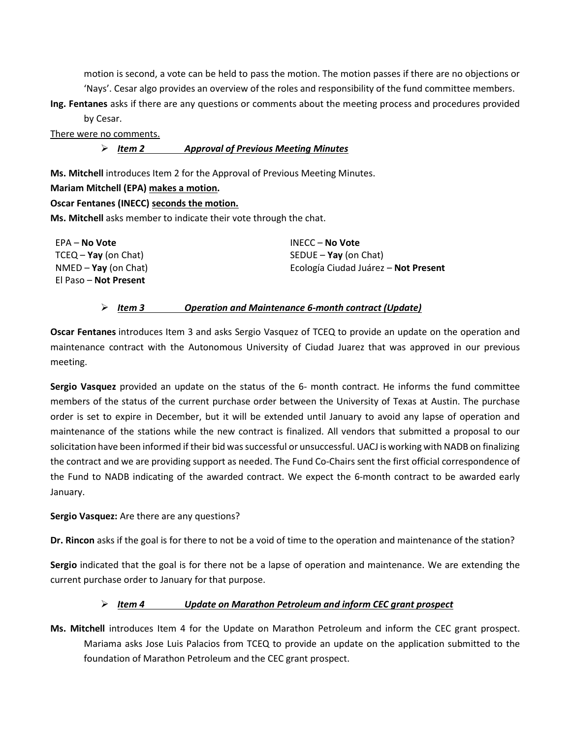motion is second, a vote can be held to pass the motion. The motion passes if there are no objections or 'Nays'. Cesar algo provides an overview of the roles and responsibility of the fund committee members.

Ing. Fentanes asks if there are any questions or comments about the meeting process and procedures provided by Cesar.

There were no comments.

#### $\triangleright$  Item 2 Approval of Previous Meeting Minutes

Ms. Mitchell introduces Item 2 for the Approval of Previous Meeting Minutes.

## Mariam Mitchell (EPA) makes a motion.

## Oscar Fentanes (INECC) seconds the motion.

Ms. Mitchell asks member to indicate their vote through the chat.

| EPA – No Vote          | INECC – No Vote                      |
|------------------------|--------------------------------------|
| $TCEQ - Yay$ (on Chat) | SEDUE $-$ Yay (on Chat)              |
| $NMED - Yay (on Chat)$ | Ecología Ciudad Juárez – Not Present |
| El Paso – Not Present  |                                      |

## Item 3 Operation and Maintenance 6-month contract (Update)

Oscar Fentanes introduces Item 3 and asks Sergio Vasquez of TCEQ to provide an update on the operation and maintenance contract with the Autonomous University of Ciudad Juarez that was approved in our previous meeting.

Sergio Vasquez provided an update on the status of the 6- month contract. He informs the fund committee members of the status of the current purchase order between the University of Texas at Austin. The purchase order is set to expire in December, but it will be extended until January to avoid any lapse of operation and maintenance of the stations while the new contract is finalized. All vendors that submitted a proposal to our solicitation have been informed if their bid was successful or unsuccessful. UACJ is working with NADB on finalizing the contract and we are providing support as needed. The Fund Co-Chairs sent the first official correspondence of the Fund to NADB indicating of the awarded contract. We expect the 6-month contract to be awarded early January.

Sergio Vasquez: Are there are any questions?

Dr. Rincon asks if the goal is for there to not be a void of time to the operation and maintenance of the station?

Sergio indicated that the goal is for there not be a lapse of operation and maintenance. We are extending the current purchase order to January for that purpose.

# $\triangleright$  Item 4 Update on Marathon Petroleum and inform CEC grant prospect

Ms. Mitchell introduces Item 4 for the Update on Marathon Petroleum and inform the CEC grant prospect. Mariama asks Jose Luis Palacios from TCEQ to provide an update on the application submitted to the foundation of Marathon Petroleum and the CEC grant prospect.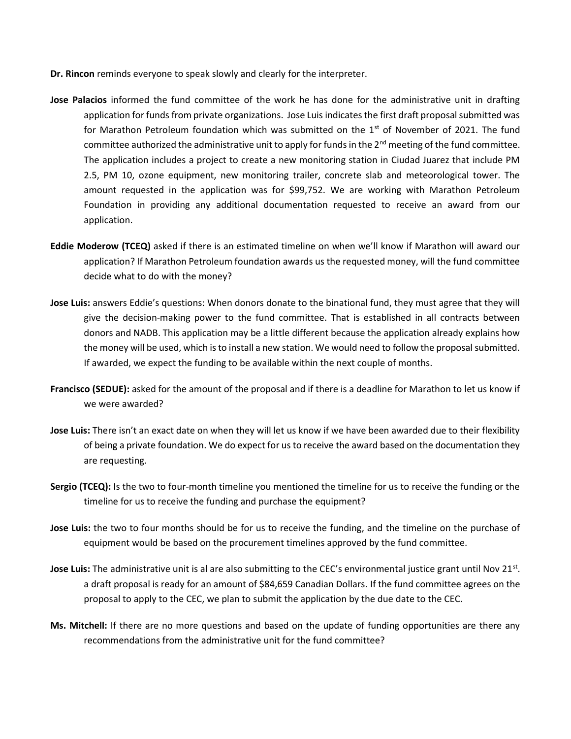- Dr. Rincon reminds everyone to speak slowly and clearly for the interpreter.
- Jose Palacios informed the fund committee of the work he has done for the administrative unit in drafting application for funds from private organizations. Jose Luis indicates the first draft proposal submitted was for Marathon Petroleum foundation which was submitted on the  $1<sup>st</sup>$  of November of 2021. The fund committee authorized the administrative unit to apply for funds in the  $2^{nd}$  meeting of the fund committee. The application includes a project to create a new monitoring station in Ciudad Juarez that include PM 2.5, PM 10, ozone equipment, new monitoring trailer, concrete slab and meteorological tower. The amount requested in the application was for \$99,752. We are working with Marathon Petroleum Foundation in providing any additional documentation requested to receive an award from our application.
- Eddie Moderow (TCEQ) asked if there is an estimated timeline on when we'll know if Marathon will award our application? If Marathon Petroleum foundation awards us the requested money, will the fund committee decide what to do with the money?
- Jose Luis: answers Eddie's questions: When donors donate to the binational fund, they must agree that they will give the decision-making power to the fund committee. That is established in all contracts between donors and NADB. This application may be a little different because the application already explains how the money will be used, which is to install a new station. We would need to follow the proposal submitted. If awarded, we expect the funding to be available within the next couple of months.
- Francisco (SEDUE): asked for the amount of the proposal and if there is a deadline for Marathon to let us know if we were awarded?
- Jose Luis: There isn't an exact date on when they will let us know if we have been awarded due to their flexibility of being a private foundation. We do expect for us to receive the award based on the documentation they are requesting.
- Sergio (TCEQ): Is the two to four-month timeline you mentioned the timeline for us to receive the funding or the timeline for us to receive the funding and purchase the equipment?
- Jose Luis: the two to four months should be for us to receive the funding, and the timeline on the purchase of equipment would be based on the procurement timelines approved by the fund committee.
- Jose Luis: The administrative unit is al are also submitting to the CEC's environmental justice grant until Nov 21<sup>st</sup>. a draft proposal is ready for an amount of \$84,659 Canadian Dollars. If the fund committee agrees on the proposal to apply to the CEC, we plan to submit the application by the due date to the CEC.
- Ms. Mitchell: If there are no more questions and based on the update of funding opportunities are there any recommendations from the administrative unit for the fund committee?